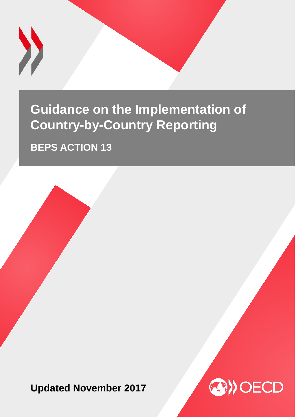

## **Guidance on the Implementation of Country-by-Country Reporting**

**BEPS ACTION 13**

**Updated November 2017**

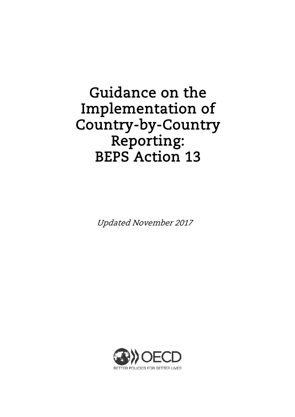# Guidance on the Implementation of Country-by-Country Reporting: BEPS Action 13

Updated November 2017

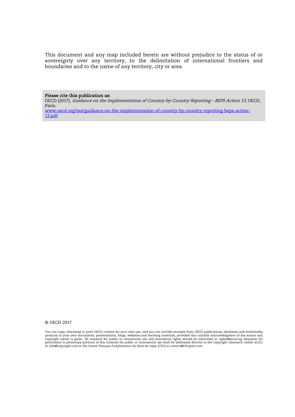This document and any map included herein are without prejudice to the status of or sovereignty over any territory, to the delimitation of international frontiers and boundaries and to the name of any territory, city or area.

Please cite this publication as:

OECD (2017), Guidance on the Implementation of Country-by-Country Reporting – BEPS Action 13, OECD, Paris.

[www.oecd.org/tax/guidance-on-the-implementation-of-country-by-country-reporting-beps-action-](http://www.oecd.org/tax/guidance-on-the-implementation-of-country-by-country-reporting-beps-action-13.pdf)[13.pdf](http://www.oecd.org/tax/guidance-on-the-implementation-of-country-by-country-reporting-beps-action-13.pdf)

#### © OECD 2017

You can copy, download or print OECD content for your own use, and you can include excerpts from OECD publications, databases and multimedia<br>products in your own documents, presentations, blogs, websites and teaching mater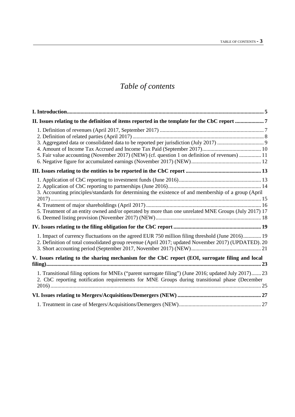## *Table of contents*

| II. Issues relating to the definition of items reported in the template for the CbC report 7                                                                                                                 |  |
|--------------------------------------------------------------------------------------------------------------------------------------------------------------------------------------------------------------|--|
| 5. Fair value accounting (November 2017) (NEW) (cf. question 1 on definition of revenues)  11                                                                                                                |  |
|                                                                                                                                                                                                              |  |
|                                                                                                                                                                                                              |  |
| 3. Accounting principles/standards for determining the existence of and membership of a group (April<br>5. Treatment of an entity owned and/or operated by more than one unrelated MNE Groups (July 2017) 17 |  |
|                                                                                                                                                                                                              |  |
| 1. Impact of currency fluctuations on the agreed EUR 750 million filing threshold (June 2016) 19<br>2. Definition of total consolidated group revenue (April 2017; updated November 2017) (UPDATED). 20      |  |
| V. Issues relating to the sharing mechanism for the CbC report (EOI, surrogate filing and local                                                                                                              |  |
| 1. Transitional filing options for MNEs ("parent surrogate filing") (June 2016; updated July 2017) 23<br>2. CbC reporting notification requirements for MNE Groups during transitional phase (December       |  |
|                                                                                                                                                                                                              |  |
|                                                                                                                                                                                                              |  |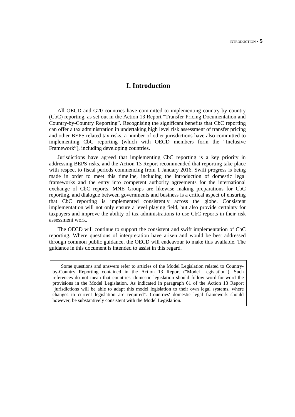## <span id="page-5-0"></span>**I. Introduction**

All OECD and G20 countries have committed to implementing country by country (CbC) reporting, as set out in the Action 13 Report "Transfer Pricing Documentation and Country-by-Country Reporting". Recognising the significant benefits that CbC reporting can offer a tax administration in undertaking high level risk assessment of transfer pricing and other BEPS related tax risks, a number of other jurisdictions have also committed to implementing CbC reporting (which with OECD members form the "Inclusive Framework"), including developing countries.

Jurisdictions have agreed that implementing CbC reporting is a key priority in addressing BEPS risks, and the Action 13 Report recommended that reporting take place with respect to fiscal periods commencing from 1 January 2016. Swift progress is being made in order to meet this timeline, including the introduction of domestic legal frameworks and the entry into competent authority agreements for the international exchange of CbC reports. MNE Groups are likewise making preparations for CbC reporting, and dialogue between governments and business is a critical aspect of ensuring that CbC reporting is implemented consistently across the globe. Consistent implementation will not only ensure a level playing field, but also provide certainty for taxpayers and improve the ability of tax administrations to use CbC reports in their risk assessment work.

The OECD will continue to support the consistent and swift implementation of CbC reporting. Where questions of interpretation have arisen and would be best addressed through common public guidance, the OECD will endeavour to make this available. The guidance in this document is intended to assist in this regard.

Some questions and answers refer to articles of the Model Legislation related to Countryby-Country Reporting contained in the Action 13 Report ("Model Legislation"). Such references do not mean that countries' domestic legislation should follow word-for-word the provisions in the Model Legislation. As indicated in paragraph 61 of the Action 13 Report "jurisdictions will be able to adapt this model legislation to their own legal systems, where changes to current legislation are required". Countries' domestic legal framework should however, be substantively consistent with the Model Legislation.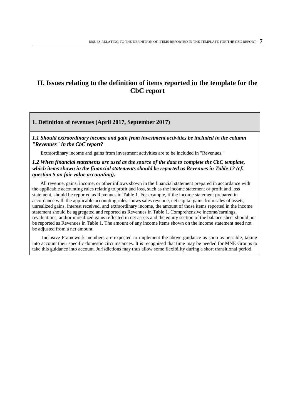## <span id="page-7-0"></span>**II. Issues relating to the definition of items reported in the template for the CbC report**

#### <span id="page-7-1"></span>**1. Definition of revenues (April 2017, September 2017)**

*1.1 Should extraordinary income and gain from investment activities be included in the column "Revenues" in the CbC report?*

Extraordinary income and gains from investment activities are to be included in "Revenues."

#### *1.2 When financial statements are used as the source of the data to complete the CbC template, which items shown in the financial statements should be reported as Revenues in Table 1? (cf. question 5 on fair value accounting).*

 All revenue, gains, income, or other inflows shown in the financial statement prepared in accordance with the applicable accounting rules relating to profit and loss, such as the income statement or profit and loss statement, should be reported as Revenues in Table 1. For example, if the income statement prepared in accordance with the applicable accounting rules shows sales revenue, net capital gains from sales of assets, unrealized gains, interest received, and extraordinary income, the amount of those items reported in the income statement should be aggregated and reported as Revenues in Table 1. Comprehensive income/earnings, revaluations, and/or unrealized gains reflected in net assets and the equity section of the balance sheet should not be reported as Revenues in Table 1. The amount of any income items shown on the income statement need not be adjusted from a net amount.

Inclusive Framework members are expected to implement the above guidance as soon as possible, taking into account their specific domestic circumstances. It is recognised that time may be needed for MNE Groups to take this guidance into account. Jurisdictions may thus allow some flexibility during a short transitional period.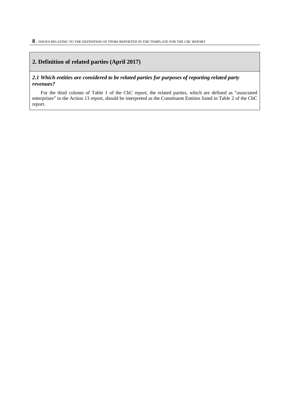#### <span id="page-8-0"></span>**2. Definition of related parties (April 2017)**

#### *2.1 Which entities are considered to be related parties for purposes of reporting related party revenues?*

For the third column of Table 1 of the CbC report, the related parties, which are defined as "associated enterprises" in the Action 13 report, should be interpreted as the Constituent Entities listed in Table 2 of the CbC report.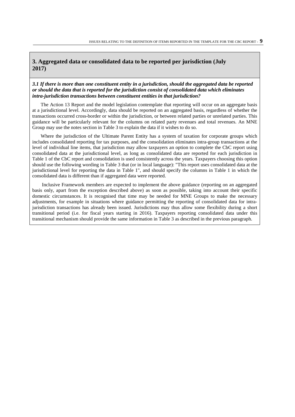#### <span id="page-9-0"></span>**3. Aggregated data or consolidated data to be reported per jurisdiction (July 2017)**

#### *3.1 If there is more than one constituent entity in a jurisdiction, should the aggregated data be reported or should the data that is reported for the jurisdiction consist of consolidated data which eliminates intra-jurisdiction transactions between constituent entities in that jurisdiction?*

The Action 13 Report and the model legislation contemplate that reporting will occur on an aggregate basis at a jurisdictional level. Accordingly, data should be reported on an aggregated basis, regardless of whether the transactions occurred cross-border or within the jurisdiction, or between related parties or unrelated parties. This guidance will be particularly relevant for the columns on related party revenues and total revenues. An MNE Group may use the notes section in Table 3 to explain the data if it wishes to do so.

Where the jurisdiction of the Ultimate Parent Entity has a system of taxation for corporate groups which includes consolidated reporting for tax purposes, and the consolidation eliminates intra-group transactions at the level of individual line items, that jurisdiction may allow taxpayers an option to complete the CbC report using consolidated data at the jurisdictional level, as long as consolidated data are reported for each jurisdiction in Table 1 of the CbC report and consolidation is used consistently across the years. Taxpayers choosing this option should use the following wording in Table 3 that (or in local language): "This report uses consolidated data at the jurisdictional level for reporting the data in Table 1", and should specify the columns in Table 1 in which the consolidated data is different than if aggregated data were reported.

Inclusive Framework members are expected to implement the above guidance (reporting on an aggregated basis only, apart from the exception described above) as soon as possible, taking into account their specific domestic circumstances. It is recognised that time may be needed for MNE Groups to make the necessary adjustments, for example in situations where guidance permitting the reporting of consolidated data for intrajurisdiction transactions has already been issued. Jurisdictions may thus allow some flexibility during a short transitional period (i.e. for fiscal years starting in 2016). Taxpayers reporting consolidated data under this transitional mechanism should provide the same information in Table 3 as described in the previous paragraph.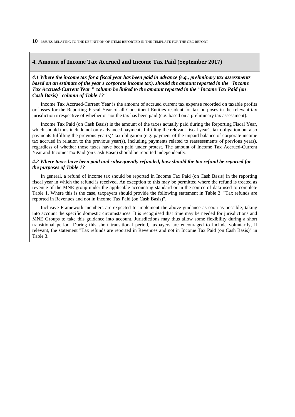#### <span id="page-10-0"></span>**4. Amount of Income Tax Accrued and Income Tax Paid (September 2017)**

*4.1 Where the income tax for a fiscal year has been paid in advance (e.g., preliminary tax assessments based on an estimate of the year's corporate income tax), should the amount reported in the "Income Tax Accrued-Current Year " column be linked to the amount reported in the "Income Tax Paid (on Cash Basis)" column of Table 1?"*

Income Tax Accrued-Current Year is the amount of accrued current tax expense recorded on taxable profits or losses for the Reporting Fiscal Year of all Constituent Entities resident for tax purposes in the relevant tax jurisdiction irrespective of whether or not the tax has been paid (e.g. based on a preliminary tax assessment).

Income Tax Paid (on Cash Basis) is the amount of the taxes actually paid during the Reporting Fiscal Year, which should thus include not only advanced payments fulfilling the relevant fiscal year's tax obligation but also payments fulfilling the previous year(s)' tax obligation (e.g. payment of the unpaid balance of corporate income tax accrued in relation to the previous year(s), including payments related to reassessments of previous years), regardless of whether those taxes have been paid under protest. The amount of Income Tax Accrued-Current Year and Income Tax Paid (on Cash Basis) should be reported independently.

#### *4.2 Where taxes have been paid and subsequently refunded, how should the tax refund be reported for the purposes of Table 1?*

In general, a refund of income tax should be reported in Income Tax Paid (on Cash Basis) in the reporting fiscal year in which the refund is received. An exception to this may be permitted where the refund is treated as revenue of the MNE group under the applicable accounting standard or in the source of data used to complete Table 1. Where this is the case, taxpayers should provide the following statement in Table 3: "Tax refunds are reported in Revenues and not in Income Tax Paid (on Cash Basis)".

Inclusive Framework members are expected to implement the above guidance as soon as possible, taking into account the specific domestic circumstances. It is recognised that time may be needed for jurisdictions and MNE Groups to take this guidance into account. Jurisdictions may thus allow some flexibility during a short transitional period. During this short transitional period, taxpayers are encouraged to include voluntarily, if relevant, the statement "Tax refunds are reported in Revenues and not in Income Tax Paid (on Cash Basis)" in Table 3.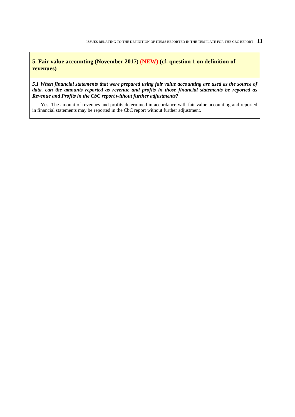<span id="page-11-0"></span>**5. Fair value accounting (November 2017) (NEW) (cf. question 1 on definition of revenues)**

*5.1 When financial statements that were prepared using fair value accounting are used as the source of data, can the amounts reported as revenue and profits in those financial statements be reported as Revenue and Profits in the CbC report without further adjustments?* 

Yes. The amount of revenues and profits determined in accordance with fair value accounting and reported in financial statements may be reported in the CbC report without further adjustment.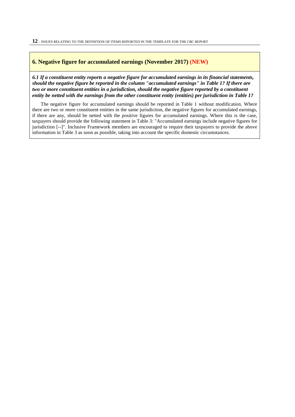#### <span id="page-12-0"></span>**6. Negative figure for accumulated earnings (November 2017) (NEW)**

*6.1 If a constituent entity reports a negative figure for accumulated earnings in its financial statements, should the negative figure be reported in the column "accumulated earnings" in Table 1? If there are two or more constituent entities in a jurisdiction, should the negative figure reported by a constituent entity be netted with the earnings from the other constituent entity (entities) per jurisdiction in Table 1?*

The negative figure for accumulated earnings should be reported in Table 1 without modification. Where there are two or more constituent entities in the same jurisdiction, the negative figures for accumulated earnings, if there are any, should be netted with the positive figures for accumulated earnings. Where this is the case, taxpayers should provide the following statement in Table 3: "Accumulated earnings include negative figures for jurisdiction [--]". Inclusive Framework members are encouraged to require their taxpayers to provide the above information in Table 3 as soon as possible, taking into account the specific domestic circumstances.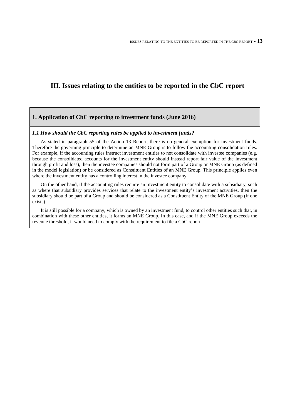### <span id="page-13-0"></span>**III. Issues relating to the entities to be reported in the CbC report**

#### <span id="page-13-1"></span>**1. Application of CbC reporting to investment funds (June 2016)**

#### *1.1 How should the CbC reporting rules be applied to investment funds?*

As stated in paragraph 55 of the Action 13 Report, there is no general exemption for investment funds. Therefore the governing principle to determine an MNE Group is to follow the accounting consolidation rules. For example, if the accounting rules instruct investment entities to not consolidate with investee companies (e.g. because the consolidated accounts for the investment entity should instead report fair value of the investment through profit and loss), then the investee companies should not form part of a Group or MNE Group (as defined in the model legislation) or be considered as Constituent Entities of an MNE Group. This principle applies even where the investment entity has a controlling interest in the investee company.

On the other hand, if the accounting rules require an investment entity to consolidate with a subsidiary, such as where that subsidiary provides services that relate to the investment entity's investment activities, then the subsidiary should be part of a Group and should be considered as a Constituent Entity of the MNE Group (if one exists).

It is still possible for a company, which is owned by an investment fund, to control other entities such that, in combination with these other entities, it forms an MNE Group. In this case, and if the MNE Group exceeds the revenue threshold, it would need to comply with the requirement to file a CbC report.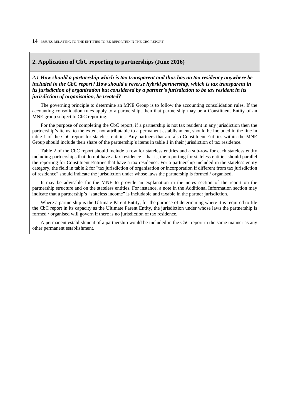#### <span id="page-14-0"></span>**2. Application of CbC reporting to partnerships (June 2016)**

*2.1 How should a partnership which is tax transparent and thus has no tax residency anywhere be included in the CbC report? How should a reverse hybrid partnership, which is tax transparent in its jurisdiction of organisation but considered by a partner's jurisdiction to be tax resident in its jurisdiction of organisation, be treated?*

The governing principle to determine an MNE Group is to follow the accounting consolidation rules. If the accounting consolidation rules apply to a partnership, then that partnership may be a Constituent Entity of an MNE group subject to CbC reporting.

For the purpose of completing the CbC report, if a partnership is not tax resident in any jurisdiction then the partnership's items, to the extent not attributable to a permanent establishment, should be included in the line in table 1 of the CbC report for stateless entities. Any partners that are also Constituent Entities within the MNE Group should include their share of the partnership's items in table 1 in their jurisdiction of tax residence.

Table 2 of the CbC report should include a row for stateless entities and a sub-row for each stateless entity including partnerships that do not have a tax residence - that is, the reporting for stateless entities should parallel the reporting for Constituent Entities that have a tax residence. For a partnership included in the stateless entity category, the field in table 2 for "tax jurisdiction of organisation or incorporation if different from tax jurisdiction of residence" should indicate the jurisdiction under whose laws the partnership is formed / organised.

It may be advisable for the MNE to provide an explanation in the notes section of the report on the partnership structure and on the stateless entities. For instance, a note in the Additional Information section may indicate that a partnership's "stateless income" is includable and taxable in the partner jurisdiction.

Where a partnership is the Ultimate Parent Entity, for the purpose of determining where it is required to file the CbC report in its capacity as the Ultimate Parent Entity, the jurisdiction under whose laws the partnership is formed / organised will govern if there is no jurisdiction of tax residence.

A permanent establishment of a partnership would be included in the CbC report in the same manner as any other permanent establishment.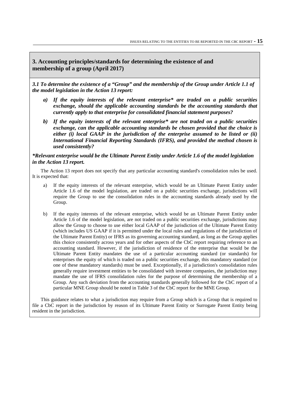#### <span id="page-15-0"></span>**3. Accounting principles/standards for determining the existence of and membership of a group (April 2017)**

*3.1 To determine the existence of a "Group" and the membership of the Group under Article 1.1 of the model legislation in the Action 13 report:*

- *a) If the equity interests of the relevant enterprise\* are traded on a public securities exchange, should the applicable accounting standards be the accounting standards that currently apply to that enterprise for consolidated financial statement purposes?*
- *b) If the equity interests of the relevant enterprise\* are not traded on a public securities exchange, can the applicable accounting standards be chosen provided that the choice is either (i) local GAAP in the jurisdiction of the enterprise assumed to be listed or (ii) International Financial Reporting Standards (IFRS), and provided the method chosen is used consistently?*

*\*Relevant enterprise would be the Ultimate Parent Entity under Article 1.6 of the model legislation in the Action 13 report.*

The Action 13 report does not specify that any particular accounting standard's consolidation rules be used. It is expected that:

- a) If the equity interests of the relevant enterprise, which would be an Ultimate Parent Entity under Article 1.6 of the model legislation, are traded on a public securities exchange, jurisdictions will require the Group to use the consolidation rules in the accounting standards already used by the Group.
- b) If the equity interests of the relevant enterprise, which would be an Ultimate Parent Entity under Article 1.6 of the model legislation, are not traded on a public securities exchange, jurisdictions may allow the Group to choose to use either local GAAP of the jurisdiction of the Ultimate Parent Entity (which includes US GAAP if it is permitted under the local rules and regulations of the jurisdiction of the Ultimate Parent Entity) or IFRS as its governing accounting standard, as long as the Group applies this choice consistently across years and for other aspects of the CbC report requiring reference to an accounting standard. However, if the jurisdiction of residence of the enterprise that would be the Ultimate Parent Entity mandates the use of a particular accounting standard (or standards) for enterprises the equity of which is traded on a public securities exchange, this mandatory standard (or one of these mandatory standards) must be used. Exceptionally, if a jurisdiction's consolidation rules generally require investment entities to be consolidated with investee companies, the jurisdiction may mandate the use of IFRS consolidation rules for the purpose of determining the membership of a Group. Any such deviation from the accounting standards generally followed for the CbC report of a particular MNE Group should be noted in Table 3 of the CbC report for the MNE Group.

This guidance relates to what a jurisdiction may require from a Group which is a Group that is required to file a CbC report in the jurisdiction by reason of its Ultimate Parent Entity or Surrogate Parent Entity being resident in the jurisdiction.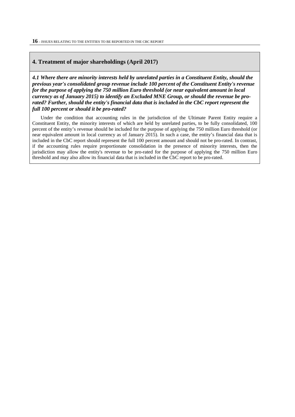#### <span id="page-16-0"></span>**4. Treatment of major shareholdings (April 2017)**

*4.1 Where there are minority interests held by unrelated parties in a Constituent Entity, should the previous year's consolidated group revenue include 100 percent of the Constituent Entity's revenue for the purpose of applying the 750 million Euro threshold (or near equivalent amount in local currency as of January 2015) to identify an Excluded MNE Group, or should the revenue be prorated? Further, should the entity's financial data that is included in the CbC report represent the full 100 percent or should it be pro-rated?* 

Under the condition that accounting rules in the jurisdiction of the Ultimate Parent Entity require a Constituent Entity, the minority interests of which are held by unrelated parties, to be fully consolidated, 100 percent of the entity's revenue should be included for the purpose of applying the 750 million Euro threshold (or near equivalent amount in local currency as of January 2015). In such a case, the entity's financial data that is included in the CbC report should represent the full 100 percent amount and should not be pro-rated. In contrast, if the accounting rules require proportionate consolidation in the presence of minority interests, then the jurisdiction may allow the entity's revenue to be pro-rated for the purpose of applying the 750 million Euro threshold and may also allow its financial data that is included in the CbC report to be pro-rated.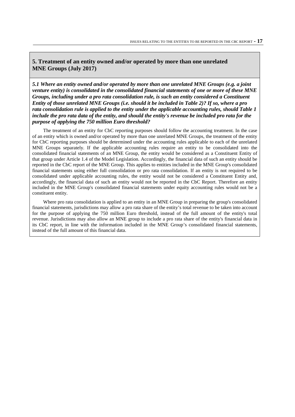#### <span id="page-17-0"></span>**5. Treatment of an entity owned and/or operated by more than one unrelated MNE Groups (July 2017)**

*5.1 Where an entity owned and/or operated by more than one unrelated MNE Groups (e.g. a joint venture entity) is consolidated in the consolidated financial statements of one or more of these MNE Groups, including under a pro rata consolidation rule, is such an entity considered a Constituent Entity of those unrelated MNE Groups (i.e. should it be included in Table 2)? If so, where a pro rata consolidation rule is applied to the entity under the applicable accounting rules, should Table 1 include the pro rata data of the entity, and should the entity's revenue be included pro rata for the purpose of applying the 750 million Euro threshold?*

The treatment of an entity for CbC reporting purposes should follow the accounting treatment. In the case of an entity which is owned and/or operated by more than one unrelated MNE Groups, the treatment of the entity for CbC reporting purposes should be determined under the accounting rules applicable to each of the unrelated MNE Groups separately. If the applicable accounting rules require an entity to be consolidated into the consolidated financial statements of an MNE Group, the entity would be considered as a Constituent Entity of that group under Article 1.4 of the Model Legislation. Accordingly, the financial data of such an entity should be reported in the CbC report of the MNE Group. This applies to entities included in the MNE Group's consolidated financial statements using either full consolidation or pro rata consolidation. If an entity is not required to be consolidated under applicable accounting rules, the entity would not be considered a Constituent Entity and, accordingly, the financial data of such an entity would not be reported in the CbC Report. Therefore an entity included in the MNE Group's consolidated financial statements under equity accounting rules would not be a constituent entity.

Where pro rata consolidation is applied to an entity in an MNE Group in preparing the group's consolidated financial statements, jurisdictions may allow a pro rata share of the entity's total revenue to be taken into account for the purpose of applying the 750 million Euro threshold, instead of the full amount of the entity's total revenue. Jurisdictions may also allow an MNE group to include a pro rata share of the entity's financial data in its CbC report, in line with the information included in the MNE Group's consolidated financial statements, instead of the full amount of this financial data.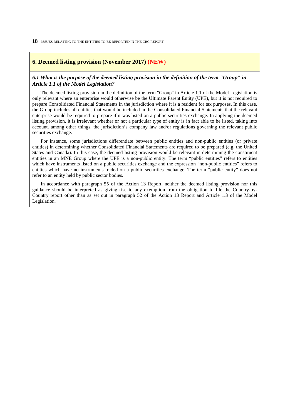#### <span id="page-18-0"></span>**6. Deemed listing provision (November 2017) (NEW)**

#### *6.1 What is the purpose of the deemed listing provision in the definition of the term "Group" in Article 1.1 of the Model Legislation?*

The deemed listing provision in the definition of the term "Group" in Article 1.1 of the Model Legislation is only relevant where an enterprise would otherwise be the Ultimate Parent Entity (UPE), but it is not required to prepare Consolidated Financial Statements in the jurisdiction where it is a resident for tax purposes. In this case, the Group includes all entities that would be included in the Consolidated Financial Statements that the relevant enterprise would be required to prepare if it was listed on a public securities exchange. In applying the deemed listing provision, it is irrelevant whether or not a particular type of entity is in fact able to be listed, taking into account, among other things, the jurisdiction's company law and/or regulations governing the relevant public securities exchange.

For instance, some jurisdictions differentiate between public entities and non-public entities (or private entities) in determining whether Consolidated Financial Statements are required to be prepared (e.g. the United States and Canada). In this case, the deemed listing provision would be relevant in determining the constituent entities in an MNE Group where the UPE is a non-public entity. The term "public entities" refers to entities which have instruments listed on a public securities exchange and the expression "non-public entities" refers to entities which have no instruments traded on a public securities exchange. The term "public entity" does not refer to an entity held by public sector bodies.

In accordance with paragraph 55 of the Action 13 Report, neither the deemed listing provision nor this guidance should be interpreted as giving rise to any exemption from the obligation to file the Country-by-Country report other than as set out in paragraph 52 of the Action 13 Report and Article 1.3 of the Model Legislation.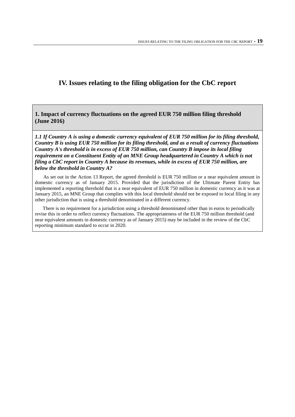## <span id="page-19-0"></span>**IV. Issues relating to the filing obligation for the CbC report**

<span id="page-19-1"></span>**1. Impact of currency fluctuations on the agreed EUR 750 million filing threshold (June 2016)**

*1.1 If Country A is using a domestic currency equivalent of EUR 750 million for its filing threshold, Country B is using EUR 750 million for its filing threshold, and as a result of currency fluctuations Country A's threshold is in excess of EUR 750 million, can Country B impose its local filing requirement on a Constituent Entity of an MNE Group headquartered in Country A which is not filing a CbC report in Country A because its revenues, while in excess of EUR 750 million, are below the threshold in Country A?* 

As set out in the Action 13 Report, the agreed threshold is EUR 750 million or a near equivalent amount in domestic currency as of January 2015. Provided that the jurisdiction of the Ultimate Parent Entity has implemented a reporting threshold that is a near equivalent of EUR 750 million in domestic currency as it was at January 2015, an MNE Group that complies with this local threshold should not be exposed to local filing in any other jurisdiction that is using a threshold denominated in a different currency.

There is no requirement for a jurisdiction using a threshold denominated other than in euros to periodically revise this in order to reflect currency fluctuations. The appropriateness of the EUR 750 million threshold (and near equivalent amounts in domestic currency as of January 2015) may be included in the review of the CbC reporting minimum standard to occur in 2020.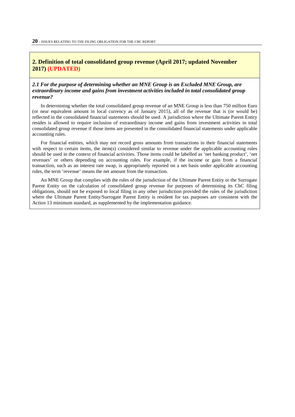#### <span id="page-20-0"></span>**2. Definition of total consolidated group revenue (April 2017; updated November 2017) (UPDATED)**

#### *2.1 For the purpose of determining whether an MNE Group is an Excluded MNE Group, are extraordinary income and gains from investment activities included in total consolidated group revenue?*

In determining whether the total consolidated group revenue of an MNE Group is less than 750 million Euro (or near equivalent amount in local currency as of January 2015), all of the revenue that is (or would be) reflected in the consolidated financial statements should be used. A jurisdiction where the Ultimate Parent Entity resides is allowed to require inclusion of extraordinary income and gains from investment activities in total consolidated group revenue if those items are presented in the consolidated financial statements under applicable accounting rules.

For financial entities, which may not record gross amounts from transactions in their financial statements with respect to certain items, the item(s) considered similar to revenue under the applicable accounting rules should be used in the context of financial activities. Those items could be labelled as 'net banking product', 'net revenues' or others depending on accounting rules. For example, if the income or gain from a financial transaction, such as an interest rate swap, is appropriately reported on a net basis under applicable accounting rules, the term 'revenue' means the net amount from the transaction.

An MNE Group that complies with the rules of the jurisdiction of the Ultimate Parent Entity or the Surrogate Parent Entity on the calculation of consolidated group revenue for purposes of determining its CbC filing obligations, should not be exposed to local filing in any other jurisdiction provided the rules of the jurisdiction where the Ultimate Parent Entity/Surrogate Parent Entity is resident for tax purposes are consistent with the Action 13 minimum standard, as supplemented by the implementation guidance.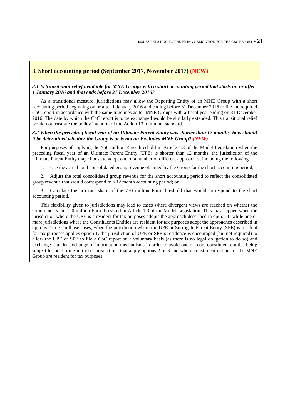#### <span id="page-21-0"></span>**3. Short accounting period (September 2017, November 2017) (NEW)**

#### *3.1 Is transitional relief available for MNE Groups with a short accounting period that starts on or after 1 January 2016 and that ends before 31 December 2016?*

As a transitional measure, jurisdictions may allow the Reporting Entity of an MNE Group with a short accounting period beginning on or after 1 January 2016 and ending before 31 December 2016 to file the required CbC report in accordance with the same timelines as for MNE Groups with a fiscal year ending on 31 December 2016. The date by which the CbC report is to be exchanged would be similarly extended. This transitional relief would not frustrate the policy intention of the Action 13 minimum standard.

#### *3.2 When the preceding fiscal year of an Ultimate Parent Entity was shorter than 12 months, how should it be determined whether the Group is or is not an Excluded MNE Group? (NEW)*

For purposes of applying the 750 million Euro threshold in Article 1.3 of the Model Legislation when the preceding fiscal year of an Ultimate Parent Entity (UPE) is shorter than 12 months, the jurisdiction of the Ultimate Parent Entity may choose to adopt one of a number of different approaches, including the following:

1. Use the actual total consolidated group revenue obtained by the Group for the short accounting period;

2. Adjust the total consolidated group revenue for the short accounting period to reflect the consolidated group revenue that would correspond to a 12 month accounting period; or

3. Calculate the pro rata share of the 750 million Euro threshold that would correspond to the short accounting period.

This flexibility given to jurisdictions may lead to cases where divergent views are reached on whether the Group meets the 750 million Euro threshold in Article 1.3 of the Model Legislation. This may happen when the jurisdiction where the UPE is a resident for tax purposes adopts the approach described in option 1, while one or more jurisdictions where the Constituents Entities are resident for tax purposes adopt the approaches described in options 2 or 3. In those cases, when the jurisdiction where the UPE or Surrogate Parent Entity (SPE) is resident for tax purposes applies option 1, the jurisdiction of UPE or SPE's residence is encouraged (but not required) to allow the UPE or SPE to file a CbC report on a voluntary basis (as there is no legal obligation to do so) and exchange it under exchange of information mechanisms in order to avoid one or more constituent entities being subject to local filing in those jurisdictions that apply options 2 or 3 and where constituent entities of the MNE Group are resident for tax purposes.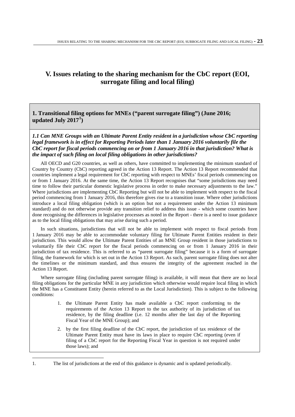## <span id="page-23-0"></span>**V. Issues relating to the sharing mechanism for the CbC report (EOI, surrogate filing and local filing)**

<span id="page-23-1"></span>**1. Transitional filing options for MNEs ("parent surrogate filing") (June 2016; updated July 2017[1](#page-23-2) )** 

*1.1 Can MNE Groups with an Ultimate Parent Entity resident in a jurisdiction whose CbC reporting legal framework is in effect for Reporting Periods later than 1 January 2016 voluntarily file the CbC report for fiscal periods commencing on or from 1 January 2016 in that jurisdiction? What is the impact of such filing on local filing obligations in other jurisdictions?* 

All OECD and G20 countries, as well as others, have committed to implementing the minimum standard of Country by Country (CbC) reporting agreed in the Action 13 Report. The Action 13 Report recommended that countries implement a legal requirement for CbC reporting with respect to MNEs' fiscal periods commencing on or from 1 January 2016. At the same time, the Action 13 Report recognises that "some jurisdictions may need time to follow their particular domestic legislative process in order to make necessary adjustments to the law." Where jurisdictions are implementing CbC Reporting but will not be able to implement with respect to the fiscal period commencing from 1 January 2016, this therefore gives rise to a transition issue. Where other jurisdictions introduce a local filing obligation (which is an option but not a requirement under the Action 13 minimum standard) and do not otherwise provide any transition relief to address this issue - which some countries have done recognising the differences in legislative processes as noted in the Report - there is a need to issue guidance as to the local filing obligations that may arise during such a period.

In such situations, jurisdictions that will not be able to implement with respect to fiscal periods from 1 January 2016 may be able to accommodate voluntary filing for Ultimate Parent Entities resident in their jurisdiction. This would allow the Ultimate Parent Entities of an MNE Group resident in those jurisdictions to voluntarily file their CbC report for the fiscal periods commencing on or from 1 January 2016 in their jurisdiction of tax residence. This is referred to as "parent surrogate filing" because it is a form of surrogate filing, the framework for which is set out in the Action 13 Report. As such, parent surrogate filing does not alter the timelines or the minimum standard, and thus ensures the integrity of the agreement reached in the Action 13 Report.

Where surrogate filing (including parent surrogate filing) is available, it will mean that there are no local filing obligations for the particular MNE in any jurisdiction which otherwise would require local filing in which the MNE has a Constituent Entity (herein referred to as the Local Jurisdiction). This is subject to the following conditions:

- 1. the Ultimate Parent Entity has made available a CbC report conforming to the requirements of the Action 13 Report to the tax authority of its jurisdiction of tax residence, by the filing deadline (i.e. 12 months after the last day of the Reporting Fiscal Year of the MNE Group); and
- 2. by the first filing deadline of the CbC report, the jurisdiction of tax residence of the Ultimate Parent Entity must have its laws in place to require CbC reporting (even if filing of a CbC report for the Reporting Fiscal Year in question is not required under those laws); and

<span id="page-23-2"></span> $\overline{a}$ 1. The list of jurisdictions at the end of this guidance is dynamic and is updated periodically.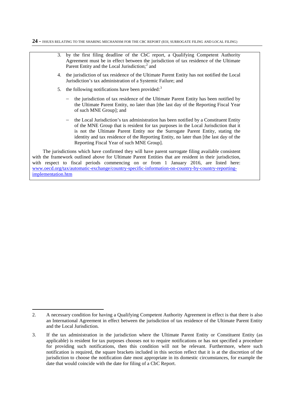

with the framework outlined above for Ultimate Parent Entities that are resident in their jurisdiction, with respect to fiscal periods commencing on or from 1 January 2016, are listed here: [www.oecd.org/tax/automatic-exchange/country-specific-information-on-country-by-country-reporting](http://www.oecd.org/tax/automatic-exchange/country-specific-information-on-country-by-country-reporting-implementation.htm)[implementation.htm](http://www.oecd.org/tax/automatic-exchange/country-specific-information-on-country-by-country-reporting-implementation.htm)

1

<span id="page-24-0"></span><sup>2.</sup> A necessary condition for having a Qualifying Competent Authority Agreement in effect is that there is also an International Agreement in effect between the jurisdiction of tax residence of the Ultimate Parent Entity and the Local Jurisdiction.

<span id="page-24-1"></span><sup>3.</sup> If the tax administration in the jurisdiction where the Ultimate Parent Entity or Constituent Entity (as applicable) is resident for tax purposes chooses not to require notifications or has not specified a procedure for providing such notifications, then this condition will not be relevant. Furthermore, where such notification is required, the square brackets included in this section reflect that it is at the discretion of the jurisdiction to choose the notification date most appropriate in its domestic circumstances, for example the date that would coincide with the date for filing of a CbC Report.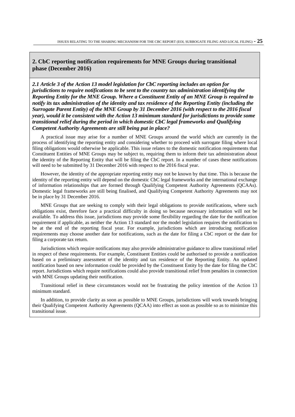#### <span id="page-25-0"></span>**2. CbC reporting notification requirements for MNE Groups during transitional phase (December 2016)**

*2.1 Article 3 of the Action 13 model legislation for CbC reporting includes an option for jurisdictions to require notifications to be sent to the country tax administration identifying the Reporting Entity for the MNE Group. Where a Constituent Entity of an MNE Group is required to notify its tax administration of the identity and tax residence of the Reporting Entity (including the Surrogate Parent Entity) of the MNE Group by 31 December 2016 (with respect to the 2016 fiscal year), would it be consistent with the Action 13 minimum standard for jurisdictions to provide some transitional relief during the period in which domestic CbC legal frameworks and Qualifying Competent Authority Agreements are still being put in place?* 

A practical issue may arise for a number of MNE Groups around the world which are currently in the process of identifying the reporting entity and considering whether to proceed with surrogate filing where local filing obligations would otherwise be applicable. This issue relates to the domestic notification requirements that Constituent Entities of MNE Groups may be subject to, requiring them to inform their tax administration about the identity of the Reporting Entity that will be filing the CbC report. In a number of cases these notifications will need to be submitted by 31 December 2016 with respect to the 2016 fiscal year.

However, the identity of the appropriate reporting entity may not be known by that time. This is because the identity of the reporting entity will depend on the domestic CbC legal frameworks and the international exchange of information relationships that are formed through Qualifying Competent Authority Agreements (QCAAs). Domestic legal frameworks are still being finalised, and Qualifying Competent Authority Agreements may not be in place by 31 December 2016.

MNE Groups that are seeking to comply with their legal obligations to provide notifications, where such obligations exist, therefore face a practical difficulty in doing so because necessary information will not be available. To address this issue, jurisdictions may provide some flexibility regarding the date for the notification requirement if applicable, as neither the Action 13 standard nor the model legislation requires the notification to be at the end of the reporting fiscal year. For example, jurisdictions which are introducing notification requirements may choose another date for notifications, such as the date for filing a CbC report or the date for filing a corporate tax return.

Jurisdictions which require notifications may also provide administrative guidance to allow transitional relief in respect of these requirements. For example, Constituent Entities could be authorised to provide a notification based on a preliminary assessment of the identity and tax residence of the Reporting Entity. An updated notification based on new information could be provided by the Constituent Entity by the date for filing the CbC report. Jurisdictions which require notifications could also provide transitional relief from penalties in connection with MNE Groups updating their notification.

Transitional relief in these circumstances would not be frustrating the policy intention of the Action 13 minimum standard.

In addition, to provide clarity as soon as possible to MNE Groups, jurisdictions will work towards bringing their Qualifying Competent Authority Agreements (QCAA) into effect as soon as possible so as to minimize this transitional issue.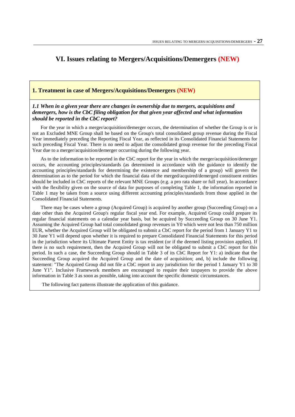## <span id="page-27-0"></span>**VI. Issues relating to Mergers/Acquisitions/Demergers (NEW)**

#### <span id="page-27-1"></span>**1. Treatment in case of Mergers/Acquisitions/Demergers (NEW)**

#### *1.1 When in a given year there are changes in ownership due to mergers, acquisitions and demergers, how is the CbC filing obligation for that given year affected and what information should be reported in the CbC report?*

For the year in which a merger/acquisition/demerger occurs, the determination of whether the Group is or is not an Excluded MNE Group shall be based on the Group's total consolidated group revenue during the Fiscal Year immediately preceding the Reporting Fiscal Year, as reflected in its Consolidated Financial Statements for such preceding Fiscal Year. There is no need to adjust the consolidated group revenue for the preceding Fiscal Year due to a merger/acquisition/demerger occurring during the following year.

As to the information to be reported in the CbC report for the year in which the merger/acquisition/demerger occurs, the accounting principles/standards (as determined in accordance with the guidance to identify the accounting principles/standards for determining the existence and membership of a group) will govern the determination as to the period for which the financial data of the merged/acquired/demerged constituent entities should be included in CbC reports of the relevant MNE Groups (e.g. a pro rata share or full year). In accordance with the flexibility given on the source of data for purposes of completing Table 1, the information reported in Table 1 may be taken from a source using different accounting principles/standards from those applied in the Consolidated Financial Statements.

There may be cases where a group (Acquired Group) is acquired by another group (Succeeding Group) on a date other than the Acquired Group's regular fiscal year end. For example, Acquired Group could prepare its regular financial statements on a calendar year basis, but be acquired by Succeeding Group on 30 June Y1. Assuming the Acquired Group had total consolidated group revenues in Y0 which were not less than 750 million EUR, whether the Acquired Group will be obligated to submit a CbC report for the period from 1 January Y1 to 30 June Y1 will depend upon whether it is required to prepare Consolidated Financial Statements for this period in the jurisdiction where its Ultimate Parent Entity is tax resident (or if the deemed listing provision applies). If there is no such requirement, then the Acquired Group will not be obligated to submit a CbC report for this period. In such a case, the Succeeding Group should in Table 3 of its CbC Report for Y1: a) indicate that the Succeeding Group acquired the Acquired Group and the date of acquisition; and, b) include the following statement: "The Acquired Group did not file a CbC report in any jurisdiction for the period 1 January Y1 to 30 June Y1". Inclusive Framework members are encouraged to require their taxpayers to provide the above information in Table 3 as soon as possible, taking into account the specific domestic circumstances.

The following fact patterns illustrate the application of this guidance.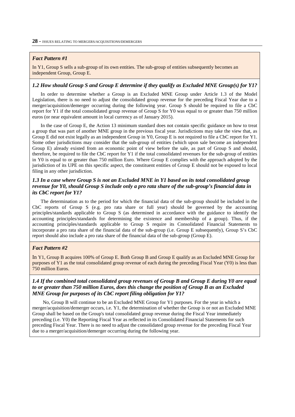#### *Fact Pattern #1*

In Y1, Group S sells a sub-group of its own entities. The sub-group of entities subsequently becomes an independent Group, Group E.

#### *1.2 How should Group S and Group E determine if they qualify as Excluded MNE Group(s) for Y1?*

In order to determine whether a Group is an Excluded MNE Group under Article 1.3 of the Model Legislation, there is no need to adjust the consolidated group revenue for the preceding Fiscal Year due to a merger/acquisition/demerger occurring during the following year. Group S should be required to file a CbC report for Y1 if the total consolidated group revenue of Group S for Y0 was equal to or greater than 750 million euros (or near equivalent amount in local currency as of January 2015).

In the case of Group E, the Action 13 minimum standard does not contain specific guidance on how to treat a group that was part of another MNE group in the previous fiscal year. Jurisdictions may take the view that, as Group E did not exist legally as an independent Group in Y0, Group E is not required to file a CbC report for Y1. Some other jurisdictions may consider that the sub-group of entities (which upon sale become an independent Group E) already existed from an economic point of view before the sale, as part of Group S and should, therefore, be required to file the CbC report for Y1 if the total consolidated revenues for the sub-group of entities in Y0 is equal to or greater than 750 million Euro. Where Group E complies with the approach adopted by the jurisdiction of its UPE on this specific aspect, the constituent entities of Group E should not be exposed to local filing in any other jurisdiction.

#### *1.3 In a case where Group S is not an Excluded MNE in Y1 based on its total consolidated group revenue for Y0, should Group S include only a pro rata share of the sub-group's financial data in its CbC report for Y1?*

The determination as to the period for which the financial data of the sub-group should be included in the CbC reports of Group S (e.g. pro rata share or full year) should be governed by the accounting principles/standards applicable to Group S (as determined in accordance with the guidance to identify the accounting principles/standards for determining the existence and membership of a group). Thus, if the accounting principles/standards applicable to Group S require its Consolidated Financial Statements to incorporate a pro rata share of the financial data of the sub-group (i.e. Group E subsequently), Group S's CbC report should also include a pro rata share of the financial data of the sub-group (Group E).

#### *Fact Pattern #2*

In Y1, Group B acquires 100% of Group E. Both Group B and Group E qualify as an Excluded MNE Group for purposes of Y1 as the total consolidated group revenue of each during the preceding Fiscal Year (Y0) is less than 750 million Euros.

#### *1.4 If the combined total consolidated group revenues of Group B and Group E during Y0 are equal to or greater than 750 million Euros, does this change the position of Group B as an Excluded MNE Group for purposes of its CbC report filing obligation for Y1?*

No, Group B will continue to be an Excluded MNE Group for Y1 purposes. For the year in which a merger/acquisition/demerger occurs, i.e. Y1, the determination of whether the Group is or not an Excluded MNE Group shall be based on the Group's total consolidated group revenue during the Fiscal Year immediately preceding (i.e. Y0) the Reporting Fiscal Year as reflected in its Consolidated Financial Statements for such preceding Fiscal Year. There is no need to adjust the consolidated group revenue for the preceding Fiscal Year due to a merger/acquisition/demerger occurring during the following year.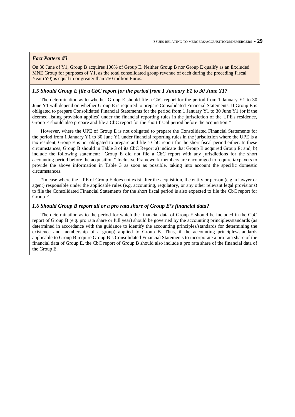#### *Fact Pattern #3*

On 30 June of Y1, Group B acquires 100% of Group E. Neither Group B nor Group E qualify as an Excluded MNE Group for purposes of Y1, as the total consolidated group revenue of each during the preceding Fiscal Year (Y0) is equal to or greater than 750 million Euros.

#### *1.5 Should Group E file a CbC report for the period from 1 January Y1 to 30 June Y1?*

The determination as to whether Group E should file a CbC report for the period from 1 January Y1 to 30 June Y1 will depend on whether Group E is required to prepare Consolidated Financial Statements. If Group E is obligated to prepare Consolidated Financial Statements for the period from 1 January Y1 to 30 June Y1 (or if the deemed listing provision applies) under the financial reporting rules in the jurisdiction of the UPE's residence, Group E should also prepare and file a CbC report for the short fiscal period before the acquisition.<sup>\*</sup>

However, where the UPE of Group E is not obligated to prepare the Consolidated Financial Statements for the period from 1 January Y1 to 30 June Y1 under financial reporting rules in the jurisdiction where the UPE is a tax resident, Group E is not obligated to prepare and file a CbC report for the short fiscal period either. In these circumstances, Group B should in Table 3 of its CbC Report a) indicate that Group B acquired Group E; and, b) include the following statement: "Group E did not file a CbC report with any jurisdictions for the short accounting period before the acquisition." Inclusive Framework members are encouraged to require taxpayers to provide the above information in Table 3 as soon as possible, taking into account the specific domestic circumstances.

\*In case where the UPE of Group E does not exist after the acquisition, the entity or person (e.g. a lawyer or agent) responsible under the applicable rules (e.g. accounting, regulatory, or any other relevant legal provisions) to file the Consolidated Financial Statements for the short fiscal period is also expected to file the CbC report for Group E.

#### *1.6 Should Group B report all or a pro rata share of Group E's financial data?*

The determination as to the period for which the financial data of Group E should be included in the CbC report of Group B (e.g. pro rata share or full year) should be governed by the accounting principles/standards (as determined in accordance with the guidance to identify the accounting principles/standards for determining the existence and membership of a group) applied to Group B. Thus, if the accounting principles/standards applicable to Group B require Group B's Consolidated Financial Statements to incorporate a pro rata share of the financial data of Group E, the CbC report of Group B should also include a pro rata share of the financial data of the Group E.